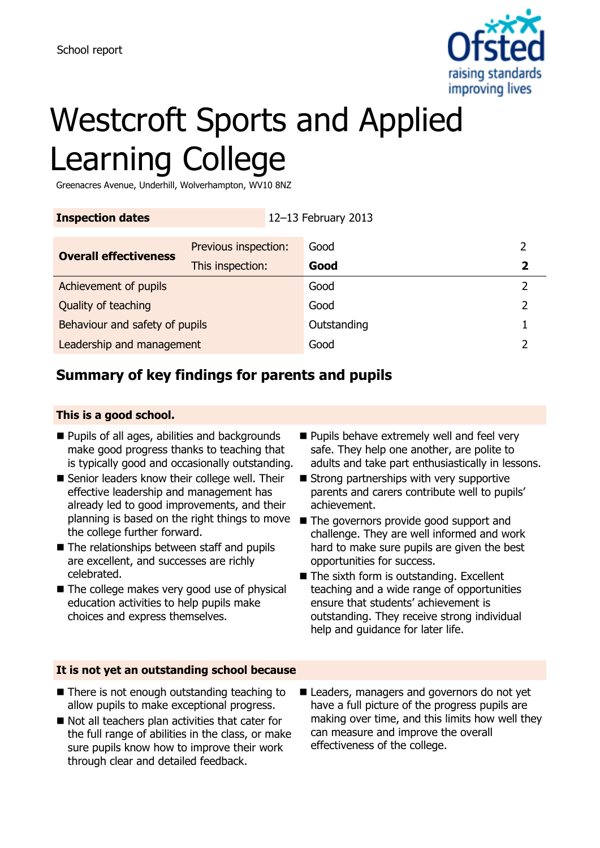

# Westcroft Sports and Applied Learning College

Greenacres Avenue, Underhill, Wolverhampton, WV10 8NZ

| <b>Inspection dates</b>        |                      | 12-13 February 2013 |             |  |   |
|--------------------------------|----------------------|---------------------|-------------|--|---|
| <b>Overall effectiveness</b>   | Previous inspection: |                     | Good        |  |   |
|                                | This inspection:     |                     | Good        |  |   |
| Achievement of pupils          |                      |                     | Good        |  | າ |
| Quality of teaching            |                      |                     | Good        |  | フ |
| Behaviour and safety of pupils |                      |                     | Outstanding |  |   |
| Leadership and management      |                      |                     | Good        |  |   |

## **Summary of key findings for parents and pupils**

#### **This is a good school.**

- **Pupils of all ages, abilities and backgrounds** make good progress thanks to teaching that is typically good and occasionally outstanding.
- Senior leaders know their college well. Their effective leadership and management has already led to good improvements, and their planning is based on the right things to move The governors provide good support and the college further forward.
- The relationships between staff and pupils are excellent, and successes are richly celebrated.
- The college makes very good use of physical education activities to help pupils make choices and express themselves.
- **Pupils behave extremely well and feel very** safe. They help one another, are polite to adults and take part enthusiastically in lessons.
- $\blacksquare$  Strong partnerships with very supportive parents and carers contribute well to pupils' achievement.
- challenge. They are well informed and work hard to make sure pupils are given the best opportunities for success.
- The sixth form is outstanding. Excellent teaching and a wide range of opportunities ensure that students' achievement is outstanding. They receive strong individual help and guidance for later life.

#### **It is not yet an outstanding school because**

- There is not enough outstanding teaching to allow pupils to make exceptional progress.
- $\blacksquare$  Not all teachers plan activities that cater for the full range of abilities in the class, or make sure pupils know how to improve their work through clear and detailed feedback.
- Leaders, managers and governors do not yet have a full picture of the progress pupils are making over time, and this limits how well they can measure and improve the overall effectiveness of the college.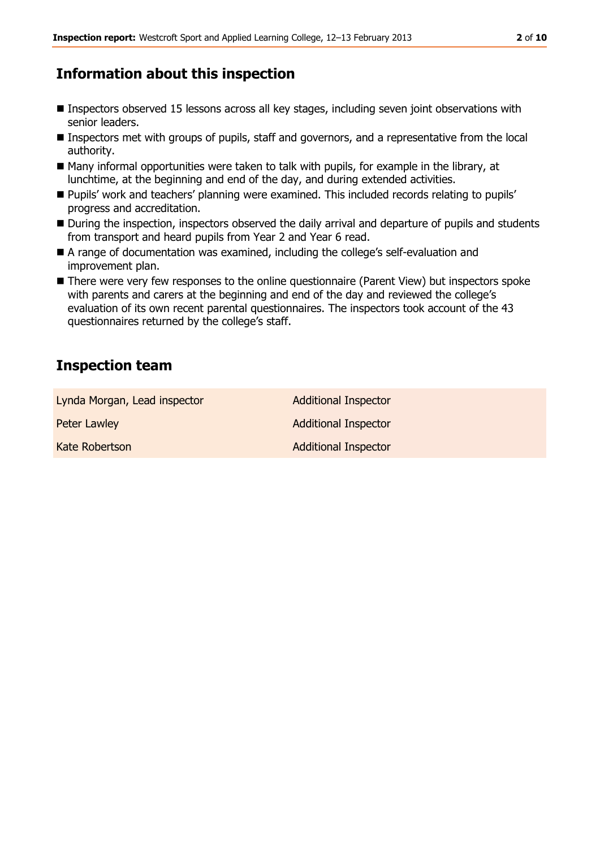### **Information about this inspection**

- Inspectors observed 15 lessons across all key stages, including seven joint observations with senior leaders.
- Inspectors met with groups of pupils, staff and governors, and a representative from the local authority.
- Many informal opportunities were taken to talk with pupils, for example in the library, at lunchtime, at the beginning and end of the day, and during extended activities.
- Pupils' work and teachers' planning were examined. This included records relating to pupils' progress and accreditation.
- During the inspection, inspectors observed the daily arrival and departure of pupils and students from transport and heard pupils from Year 2 and Year 6 read.
- A range of documentation was examined, including the college's self-evaluation and improvement plan.
- **There were very few responses to the online questionnaire (Parent View) but inspectors spoke** with parents and carers at the beginning and end of the day and reviewed the college's evaluation of its own recent parental questionnaires. The inspectors took account of the 43 questionnaires returned by the college's staff.

## **Inspection team**

| Lynda Morgan, Lead inspector | <b>Additional Inspector</b> |
|------------------------------|-----------------------------|
| Peter Lawley                 | <b>Additional Inspector</b> |
| Kate Robertson               | <b>Additional Inspector</b> |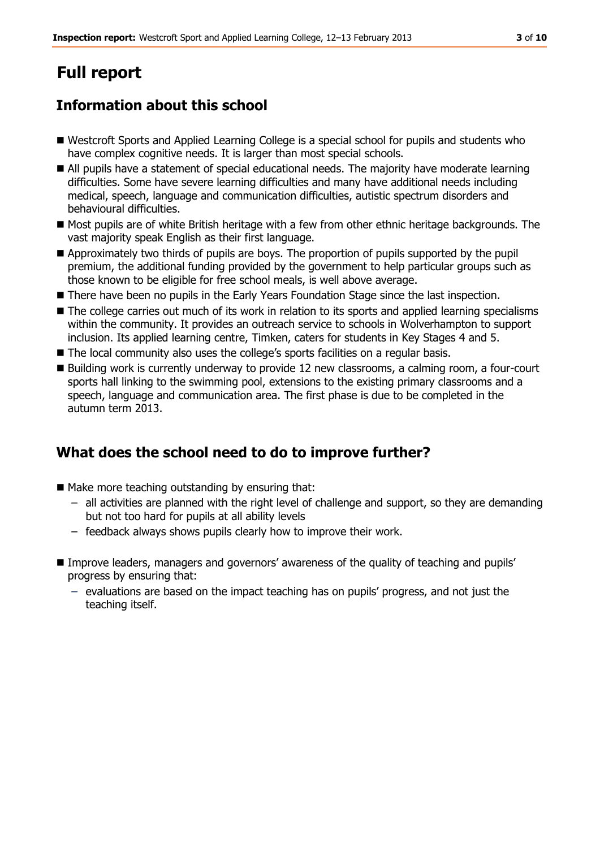## **Full report**

## **Information about this school**

- Westcroft Sports and Applied Learning College is a special school for pupils and students who have complex cognitive needs. It is larger than most special schools.
- All pupils have a statement of special educational needs. The majority have moderate learning difficulties. Some have severe learning difficulties and many have additional needs including medical, speech, language and communication difficulties, autistic spectrum disorders and behavioural difficulties.
- Most pupils are of white British heritage with a few from other ethnic heritage backgrounds. The vast majority speak English as their first language.
- Approximately two thirds of pupils are boys. The proportion of pupils supported by the pupil premium, the additional funding provided by the government to help particular groups such as those known to be eligible for free school meals, is well above average.
- **There have been no pupils in the Early Years Foundation Stage since the last inspection.**
- The college carries out much of its work in relation to its sports and applied learning specialisms within the community. It provides an outreach service to schools in Wolverhampton to support inclusion. Its applied learning centre, Timken, caters for students in Key Stages 4 and 5.
- The local community also uses the college's sports facilities on a regular basis.
- Building work is currently underway to provide 12 new classrooms, a calming room, a four-court sports hall linking to the swimming pool, extensions to the existing primary classrooms and a speech, language and communication area. The first phase is due to be completed in the autumn term 2013.

## **What does the school need to do to improve further?**

- $\blacksquare$  Make more teaching outstanding by ensuring that:
	- all activities are planned with the right level of challenge and support, so they are demanding but not too hard for pupils at all ability levels
	- feedback always shows pupils clearly how to improve their work.
- Improve leaders, managers and governors' awareness of the quality of teaching and pupils' progress by ensuring that:
	- evaluations are based on the impact teaching has on pupils' progress, and not just the teaching itself.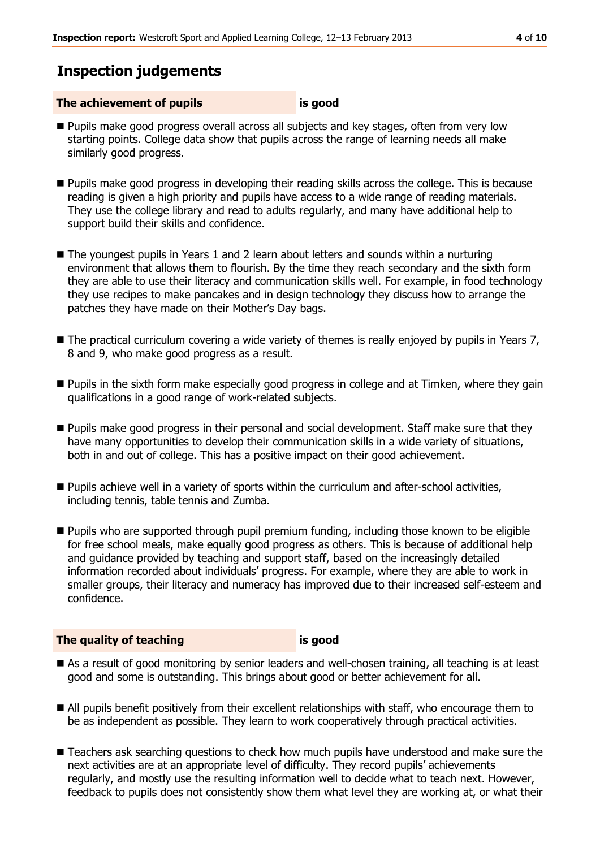## **Inspection judgements**

#### **The achievement of pupils is good**

- Pupils make good progress overall across all subjects and key stages, often from very low starting points. College data show that pupils across the range of learning needs all make similarly good progress.
- Pupils make good progress in developing their reading skills across the college. This is because reading is given a high priority and pupils have access to a wide range of reading materials. They use the college library and read to adults regularly, and many have additional help to support build their skills and confidence.
- The voungest pupils in Years 1 and 2 learn about letters and sounds within a nurturing environment that allows them to flourish. By the time they reach secondary and the sixth form they are able to use their literacy and communication skills well. For example, in food technology they use recipes to make pancakes and in design technology they discuss how to arrange the patches they have made on their Mother's Day bags.
- The practical curriculum covering a wide variety of themes is really enjoyed by pupils in Years 7, 8 and 9, who make good progress as a result.
- Pupils in the sixth form make especially good progress in college and at Timken, where they gain qualifications in a good range of work-related subjects.
- **Pupils make good progress in their personal and social development. Staff make sure that they** have many opportunities to develop their communication skills in a wide variety of situations, both in and out of college. This has a positive impact on their good achievement.
- **Pupils achieve well in a variety of sports within the curriculum and after-school activities,** including tennis, table tennis and Zumba.
- **Pupils who are supported through pupil premium funding, including those known to be eligible** for free school meals, make equally good progress as others. This is because of additional help and guidance provided by teaching and support staff, based on the increasingly detailed information recorded about individuals' progress. For example, where they are able to work in smaller groups, their literacy and numeracy has improved due to their increased self-esteem and confidence.

#### **The quality of teaching is good**

- As a result of good monitoring by senior leaders and well-chosen training, all teaching is at least good and some is outstanding. This brings about good or better achievement for all.
- All pupils benefit positively from their excellent relationships with staff, who encourage them to be as independent as possible. They learn to work cooperatively through practical activities.
- **Teachers ask searching questions to check how much pupils have understood and make sure the** next activities are at an appropriate level of difficulty. They record pupils' achievements regularly, and mostly use the resulting information well to decide what to teach next. However, feedback to pupils does not consistently show them what level they are working at, or what their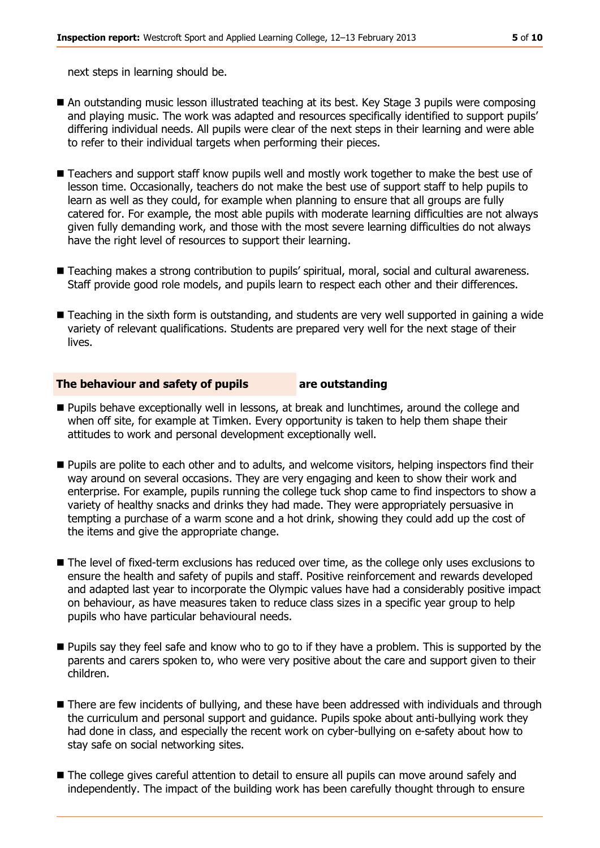next steps in learning should be.

- An outstanding music lesson illustrated teaching at its best. Key Stage 3 pupils were composing and playing music. The work was adapted and resources specifically identified to support pupils' differing individual needs. All pupils were clear of the next steps in their learning and were able to refer to their individual targets when performing their pieces.
- Teachers and support staff know pupils well and mostly work together to make the best use of lesson time. Occasionally, teachers do not make the best use of support staff to help pupils to learn as well as they could, for example when planning to ensure that all groups are fully catered for. For example, the most able pupils with moderate learning difficulties are not always given fully demanding work, and those with the most severe learning difficulties do not always have the right level of resources to support their learning.
- Teaching makes a strong contribution to pupils' spiritual, moral, social and cultural awareness. Staff provide good role models, and pupils learn to respect each other and their differences.
- Teaching in the sixth form is outstanding, and students are very well supported in gaining a wide variety of relevant qualifications. Students are prepared very well for the next stage of their lives.

#### **The behaviour and safety of pupils are outstanding**

- **Pupils behave exceptionally well in lessons, at break and lunchtimes, around the college and** when off site, for example at Timken. Every opportunity is taken to help them shape their attitudes to work and personal development exceptionally well.
- **Pupils are polite to each other and to adults, and welcome visitors, helping inspectors find their** way around on several occasions. They are very engaging and keen to show their work and enterprise. For example, pupils running the college tuck shop came to find inspectors to show a variety of healthy snacks and drinks they had made. They were appropriately persuasive in tempting a purchase of a warm scone and a hot drink, showing they could add up the cost of the items and give the appropriate change.
- The level of fixed-term exclusions has reduced over time, as the college only uses exclusions to ensure the health and safety of pupils and staff. Positive reinforcement and rewards developed and adapted last year to incorporate the Olympic values have had a considerably positive impact on behaviour, as have measures taken to reduce class sizes in a specific year group to help pupils who have particular behavioural needs.
- **Pupils say they feel safe and know who to go to if they have a problem. This is supported by the** parents and carers spoken to, who were very positive about the care and support given to their children.
- There are few incidents of bullying, and these have been addressed with individuals and through the curriculum and personal support and guidance. Pupils spoke about anti-bullying work they had done in class, and especially the recent work on cyber-bullying on e-safety about how to stay safe on social networking sites.
- The college gives careful attention to detail to ensure all pupils can move around safely and independently. The impact of the building work has been carefully thought through to ensure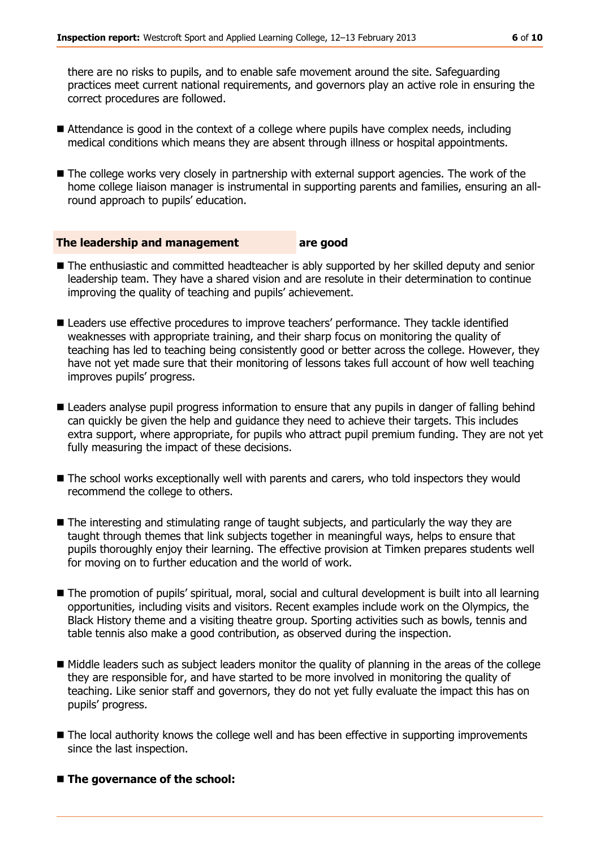there are no risks to pupils, and to enable safe movement around the site. Safeguarding practices meet current national requirements, and governors play an active role in ensuring the correct procedures are followed.

- Attendance is good in the context of a college where pupils have complex needs, including medical conditions which means they are absent through illness or hospital appointments.
- $\blacksquare$  The college works very closely in partnership with external support agencies. The work of the home college liaison manager is instrumental in supporting parents and families, ensuring an allround approach to pupils' education.

#### **The leadership and management are good**

- The enthusiastic and committed headteacher is ably supported by her skilled deputy and senior leadership team. They have a shared vision and are resolute in their determination to continue improving the quality of teaching and pupils' achievement.
- **E** Leaders use effective procedures to improve teachers' performance. They tackle identified weaknesses with appropriate training, and their sharp focus on monitoring the quality of teaching has led to teaching being consistently good or better across the college. However, they have not yet made sure that their monitoring of lessons takes full account of how well teaching improves pupils' progress.
- **E** Leaders analyse pupil progress information to ensure that any pupils in danger of falling behind can quickly be given the help and guidance they need to achieve their targets. This includes extra support, where appropriate, for pupils who attract pupil premium funding. They are not yet fully measuring the impact of these decisions.
- The school works exceptionally well with parents and carers, who told inspectors they would recommend the college to others.
- The interesting and stimulating range of taught subjects, and particularly the way they are taught through themes that link subjects together in meaningful ways, helps to ensure that pupils thoroughly enjoy their learning. The effective provision at Timken prepares students well for moving on to further education and the world of work.
- The promotion of pupils' spiritual, moral, social and cultural development is built into all learning opportunities, including visits and visitors. Recent examples include work on the Olympics, the Black History theme and a visiting theatre group. Sporting activities such as bowls, tennis and table tennis also make a good contribution, as observed during the inspection.
- Middle leaders such as subject leaders monitor the quality of planning in the areas of the college they are responsible for, and have started to be more involved in monitoring the quality of teaching. Like senior staff and governors, they do not yet fully evaluate the impact this has on pupils' progress.
- $\blacksquare$  The local authority knows the college well and has been effective in supporting improvements since the last inspection.

#### ■ The governance of the school: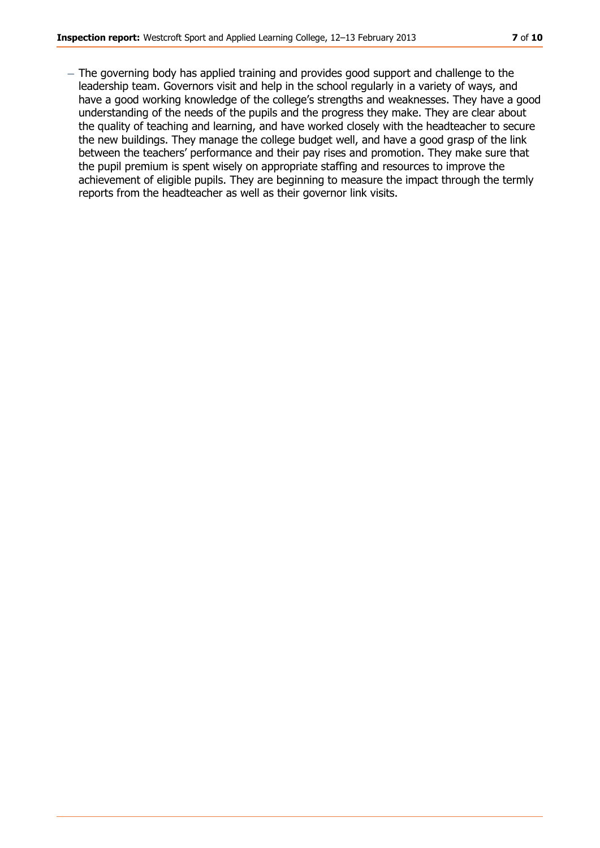- The governing body has applied training and provides good support and challenge to the leadership team. Governors visit and help in the school regularly in a variety of ways, and have a good working knowledge of the college's strengths and weaknesses. They have a good understanding of the needs of the pupils and the progress they make. They are clear about the quality of teaching and learning, and have worked closely with the headteacher to secure the new buildings. They manage the college budget well, and have a good grasp of the link between the teachers' performance and their pay rises and promotion. They make sure that the pupil premium is spent wisely on appropriate staffing and resources to improve the achievement of eligible pupils. They are beginning to measure the impact through the termly reports from the headteacher as well as their governor link visits.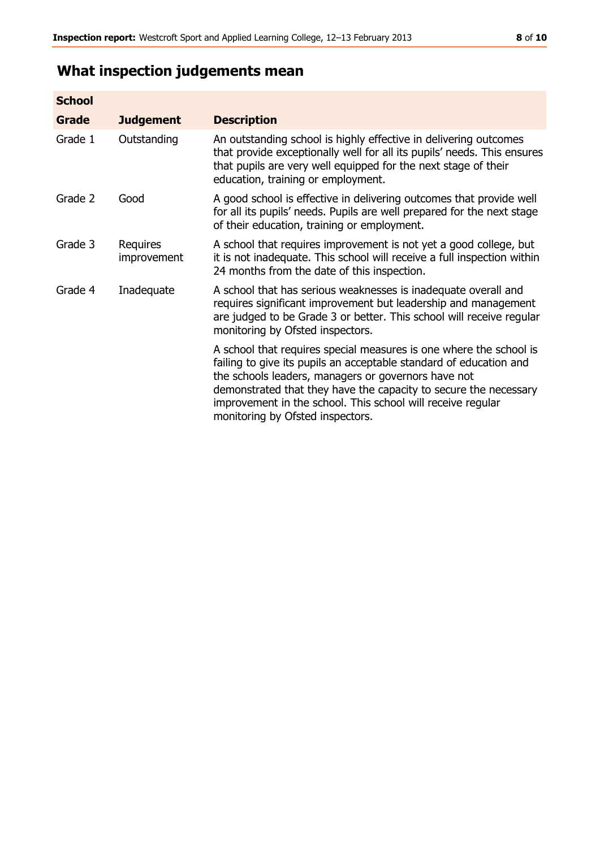## **What inspection judgements mean**

| <b>School</b> |                         |                                                                                                                                                                                                                                                                                                                                                                        |
|---------------|-------------------------|------------------------------------------------------------------------------------------------------------------------------------------------------------------------------------------------------------------------------------------------------------------------------------------------------------------------------------------------------------------------|
| Grade         | <b>Judgement</b>        | <b>Description</b>                                                                                                                                                                                                                                                                                                                                                     |
| Grade 1       | Outstanding             | An outstanding school is highly effective in delivering outcomes<br>that provide exceptionally well for all its pupils' needs. This ensures<br>that pupils are very well equipped for the next stage of their<br>education, training or employment.                                                                                                                    |
| Grade 2       | Good                    | A good school is effective in delivering outcomes that provide well<br>for all its pupils' needs. Pupils are well prepared for the next stage<br>of their education, training or employment.                                                                                                                                                                           |
| Grade 3       | Requires<br>improvement | A school that requires improvement is not yet a good college, but<br>it is not inadequate. This school will receive a full inspection within<br>24 months from the date of this inspection.                                                                                                                                                                            |
| Grade 4       | Inadequate              | A school that has serious weaknesses is inadequate overall and<br>requires significant improvement but leadership and management<br>are judged to be Grade 3 or better. This school will receive regular<br>monitoring by Ofsted inspectors.                                                                                                                           |
|               |                         | A school that requires special measures is one where the school is<br>failing to give its pupils an acceptable standard of education and<br>the schools leaders, managers or governors have not<br>demonstrated that they have the capacity to secure the necessary<br>improvement in the school. This school will receive regular<br>monitoring by Ofsted inspectors. |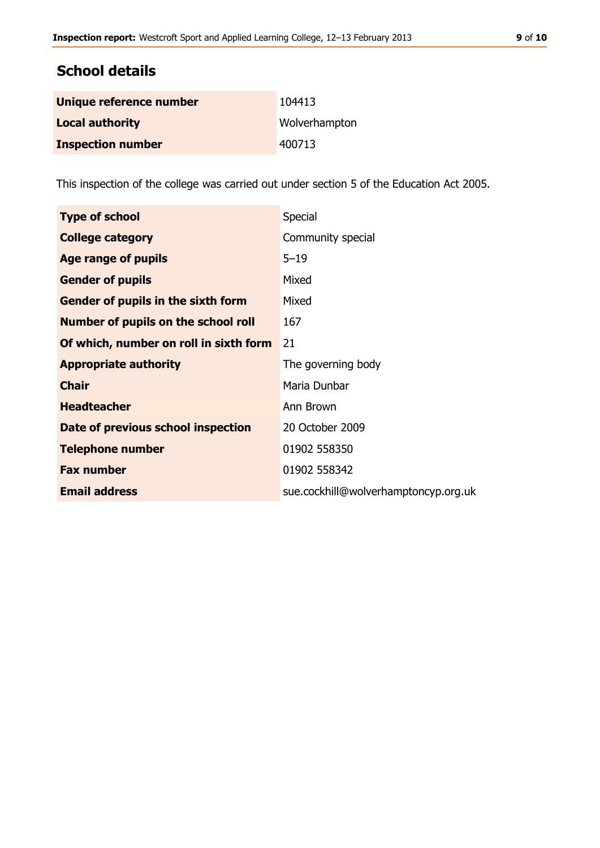### **School details**

| Unique reference number  | 104413        |
|--------------------------|---------------|
| <b>Local authority</b>   | Wolverhampton |
| <b>Inspection number</b> | 400713        |

This inspection of the college was carried out under section 5 of the Education Act 2005.

| <b>Type of school</b>                     | Special                              |
|-------------------------------------------|--------------------------------------|
| <b>College category</b>                   | Community special                    |
| Age range of pupils                       | $5 - 19$                             |
| <b>Gender of pupils</b>                   | Mixed                                |
| <b>Gender of pupils in the sixth form</b> | Mixed                                |
| Number of pupils on the school roll       | 167                                  |
| Of which, number on roll in sixth form    | 21                                   |
| <b>Appropriate authority</b>              | The governing body                   |
| <b>Chair</b>                              | Maria Dunbar                         |
| <b>Headteacher</b>                        | Ann Brown                            |
| Date of previous school inspection        | 20 October 2009                      |
| <b>Telephone number</b>                   | 01902 558350                         |
| <b>Fax number</b>                         | 01902 558342                         |
| <b>Email address</b>                      | sue.cockhill@wolverhamptoncyp.org.uk |